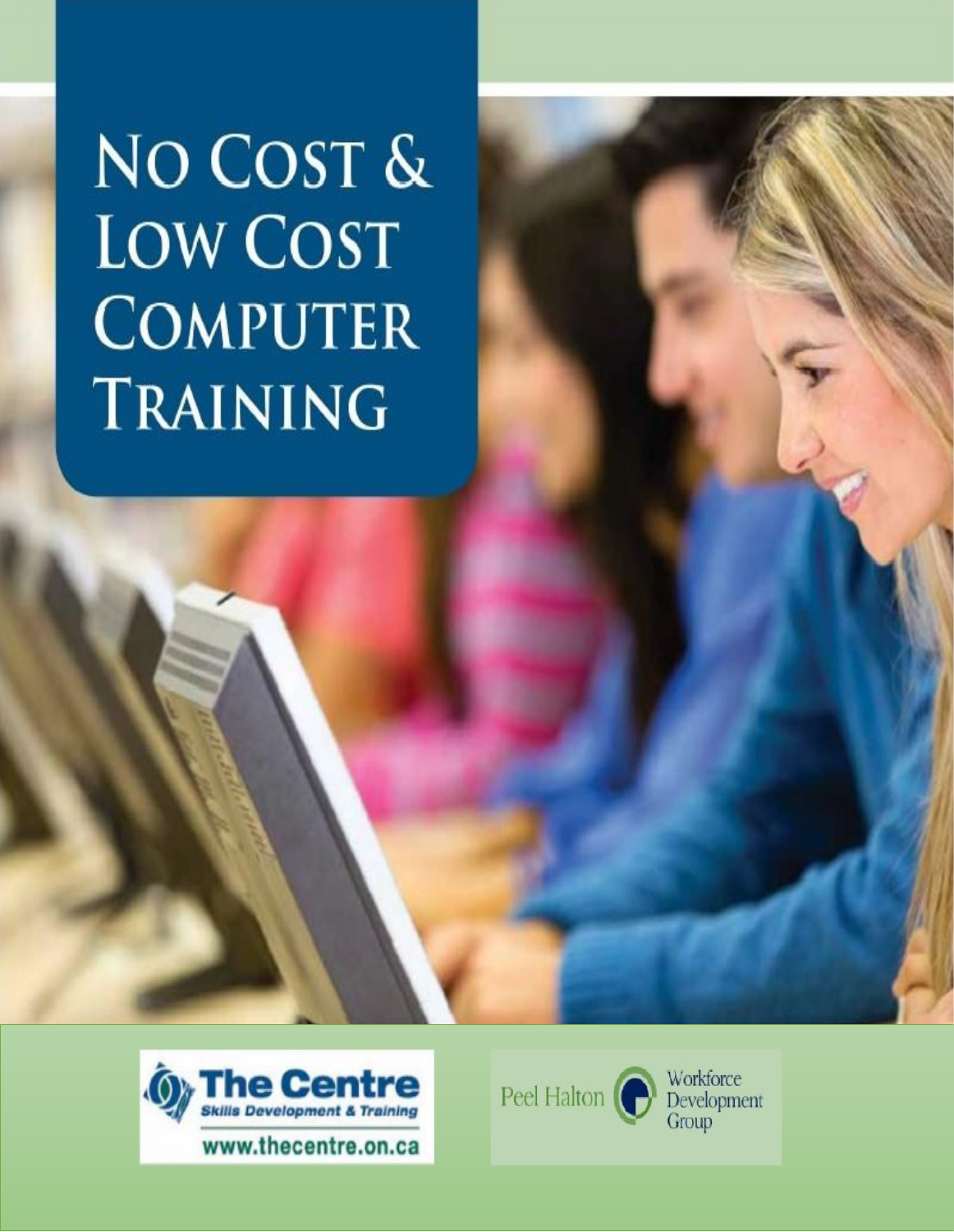NO COST & **LOW COST COMPUTER TRAINING** 



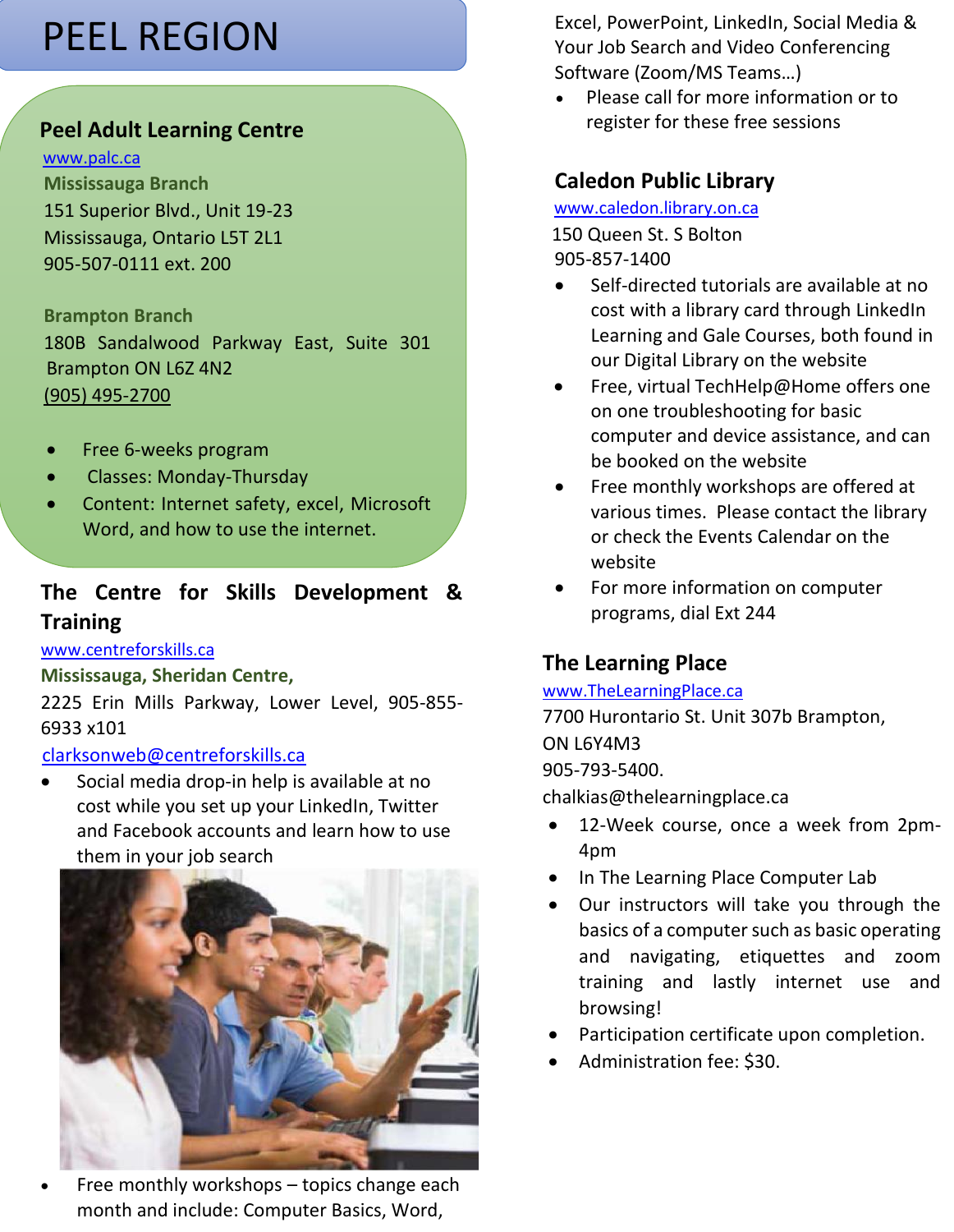# PEEL REGION

## **Peel Adult Learning Centre**

#### [www.palc.ca](http://www.palc.ca/)

 **Mississauga Branch** 151 Superior Blvd., Unit 19-23 Mississauga, Ontario L5T 2L1 905-507-0111 ext. 200

 **Brampton Branch** 180B Sandalwood Parkway East, Suite 301 Brampton ON L6Z 4N2 (905) [495-2700](tel://+19054952700/)

- Free 6-weeks program
- Classes: Monday-Thursday
- Content: Internet safety, excel, Microsoft Word, and how to use the internet.

# **The Centre for Skills Development & Training**

#### [www.centreforskills.ca](http://www.centreforskills.ca/)

#### **Mississauga, Sheridan Centre,**

2225 Erin Mills Parkway, Lower Level, 905-855- 6933 x101

## [clarksonweb@centreforskills.ca](mailto:clarksonweb@centreforskills.ca)

• Social media drop-in help is available at no cost while you set up your LinkedIn, Twitter and Facebook accounts and learn how to use them in your job search



Free monthly workshops - topics change each month and include: Computer Basics, Word,

Excel, PowerPoint, LinkedIn, Social Media & Your Job Search and Video Conferencing Software (Zoom/MS Teams…)

• Please call for more information or to register for these free sessions

## **Caledon Public Library**

[www.caledon.library.on.ca](http://www.caledon.library.on.ca/) 150 Queen St. S Bolton 905-857-1400

- Self-directed tutorials are available at no cost with a library card through LinkedIn Learning and Gale Courses, both found in our Digital Library on the website
- Free, virtual TechHelp@Home offers one on one troubleshooting for basic computer and device assistance, and can be booked on the website
- Free monthly workshops are offered at various times. Please contact the library or check the Events Calendar on the website
- For more information on computer programs, dial Ext 244

## **The Learning Place**

#### [www.TheLearningPlace.ca](http://www.thelearningplace.ca/)

7700 Hurontario St. Unit 307b Brampton, ON L6Y4M3 905-793-5400. chalkias@thelearningplace.ca

- 12-Week course, once a week from 2pm-4pm
- In The Learning Place Computer Lab
- Our instructors will take you through the basics of a computer such as basic operating and navigating, etiquettes and zoom training and lastly internet use and browsing!
- Participation certificate upon completion.
- Administration fee: \$30.